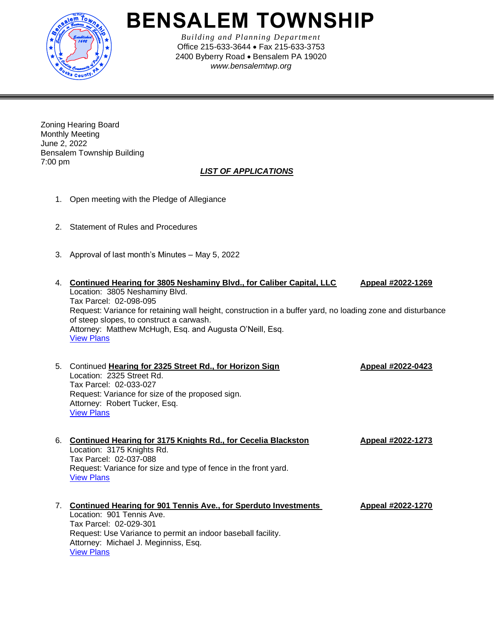

## **BENSALEM TOWNSHIP**

*Building and Planning Department* Office 215-633-3644 • Fax 215-633-3753 2400 Byberry Road • Bensalem PA 19020 *www.bensalemtwp.org* 

Zoning Hearing Board Monthly Meeting June 2, 2022 Bensalem Township Building 7:00 pm

## *LIST OF APPLICATIONS*

- 1. Open meeting with the Pledge of Allegiance
- 2. Statement of Rules and Procedures
- 3. Approval of last month's Minutes May 5, 2022
- 4. **Continued Hearing for 3805 Neshaminy Blvd., for Caliber Capital, LLC Appeal #2022-1269** Location: 3805 Neshaminy Blvd. Tax Parcel: 02-098-095 Request: Variance for retaining wall height, construction in a buffer yard, no loading zone and disturbance of steep slopes, to construct a carwash. Attorney: Matthew McHugh, Esq. and Augusta O'Neill, Esq. [View Plans](https://www.bensalempa.gov/uploads/2/4/9/3/24936441/neshaminy_blvd_3805_zhb_2022-1269.pdf)
- 5. Continued **Hearing for 2325 Street Rd., for Horizon Sign Appeal #2022-0423** Location: 2325 Street Rd. Tax Parcel: 02-033-027 Request: Variance for size of the proposed sign. Attorney: Robert Tucker, Esq. [View Plans](https://www.bensalempa.gov/uploads/2/4/9/3/24936441/street_rd_2325_2022-0423.pdf)
- 6. **Continued Hearing for 3175 Knights Rd., for Cecelia Blackston Appeal #2022-1273** Location: 3175 Knights Rd. Tax Parcel: 02-037-088 Request: Variance for size and type of fence in the front yard. [View Plans](https://www.bensalempa.gov/uploads/2/4/9/3/24936441/knights_rd_3175_zhb_2022-0677.pdf) 7. **Continued Hearing for 901 Tennis Ave., for Sperduto Investments Appeal #2022-1270**

Location: 901 Tennis Ave. Tax Parcel: 02-029-301 Request: Use Variance to permit an indoor baseball facility. Attorney: Michael J. Meginniss, Esq. [View Plans](https://www.bensalempa.gov/uploads/2/4/9/3/24936441/tennis_ave_901_zhb_2022-1270.pdf)